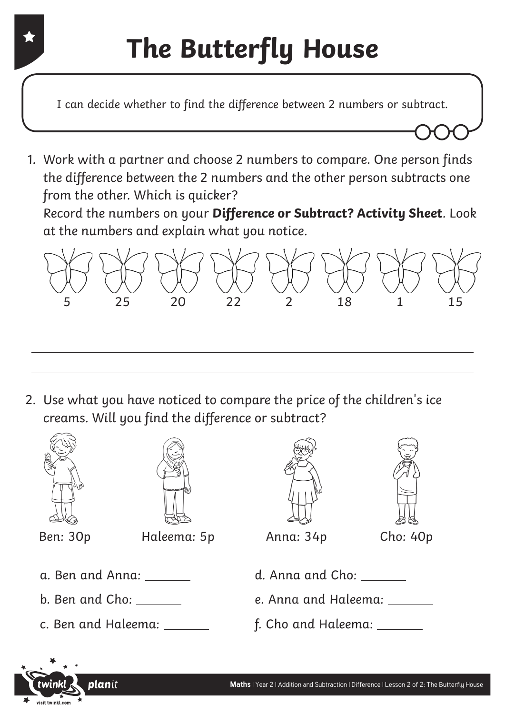## **The Butterfly House**

I can decide whether to find the difference between 2 numbers or subtract.

1. Work with a partner and choose 2 numbers to compare. One person finds the difference between the 2 numbers and the other person subtracts one from the other. Which is quicker? Record the numbers on your **Difference or Subtract? Activity Sheet**. Look

at the numbers and explain what you notice.

planit



2. Use what you have noticed to compare the price of the children's ice creams. Will you find the difference or subtract?

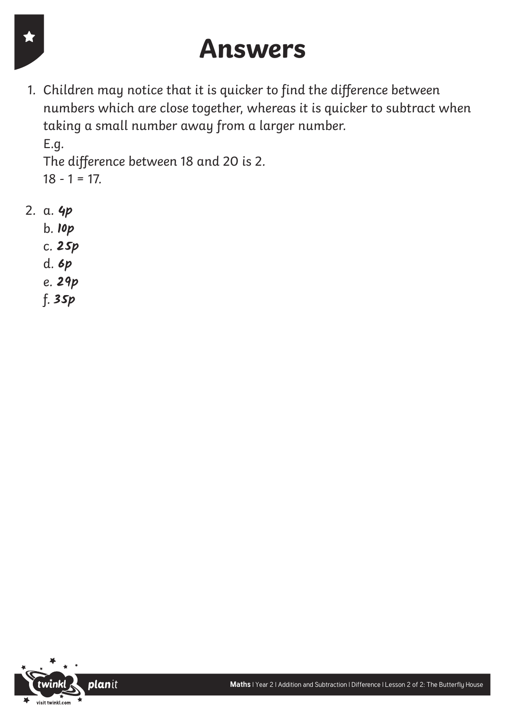#### **Answers**

1. Children may notice that it is quicker to find the difference between numbers which are close together, whereas it is quicker to subtract when taking a small number away from a larger number. E.g.

The difference between 18 and 20 is 2.  $18 - 1 = 17.$ 

- 2. a. **4p**
	- b. **10p**
	- c. **25p**
	- d. **6p**
	- e. **29p**
	- f. **35p**

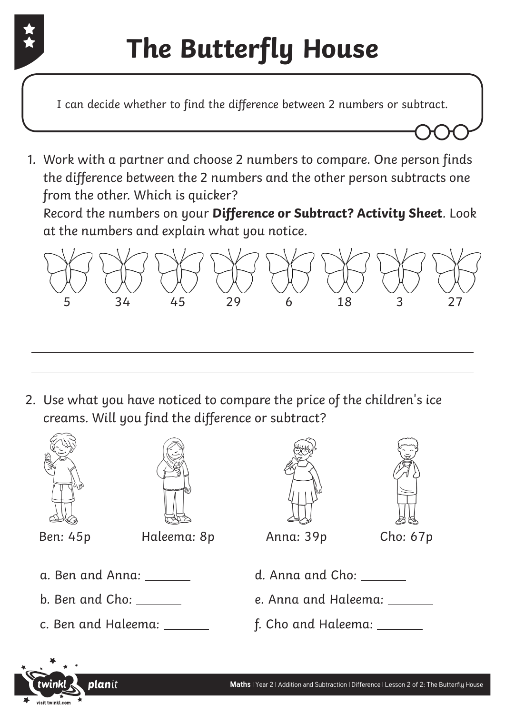

## **The Butterfly House**

I can decide whether to find the difference between 2 numbers or subtract.

1. Work with a partner and choose 2 numbers to compare. One person finds the difference between the 2 numbers and the other person subtracts one from the other. Which is quicker? Record the numbers on your **Difference or Subtract? Activity Sheet**. Look

at the numbers and explain what you notice.

planit



2. Use what you have noticed to compare the price of the children's ice creams. Will you find the difference or subtract?

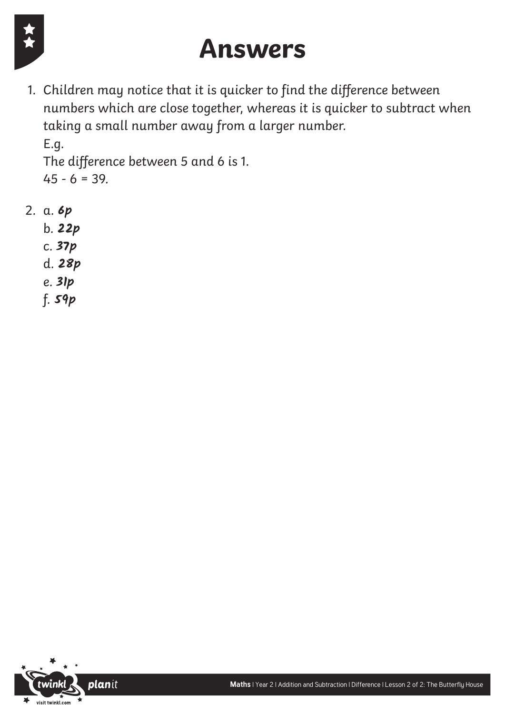

### **Answers**

1. Children may notice that it is quicker to find the difference between numbers which are close together, whereas it is quicker to subtract when taking a small number away from a larger number. E.g.

The difference between 5 and 6 is 1.  $45 - 6 = 39.$ 

- 2. a. **6p**
	- b. **22p**
	- c. **37p**
	- d. **28p**
	- e. **31p**
	- f. **59p**

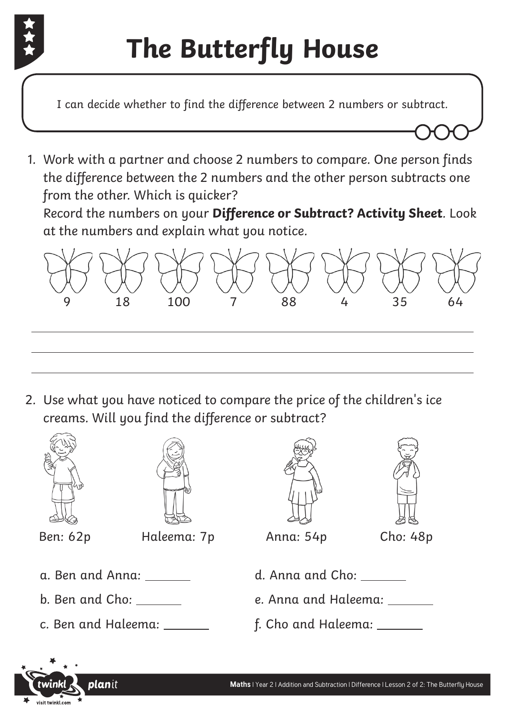

# **The Butterfly House**

I can decide whether to find the difference between 2 numbers or subtract.

1. Work with a partner and choose 2 numbers to compare. One person finds the difference between the 2 numbers and the other person subtracts one from the other. Which is quicker? Record the numbers on your **Difference or Subtract? Activity Sheet**. Look

at the numbers and explain what you notice.

planit



2. Use what you have noticed to compare the price of the children's ice creams. Will you find the difference or subtract?